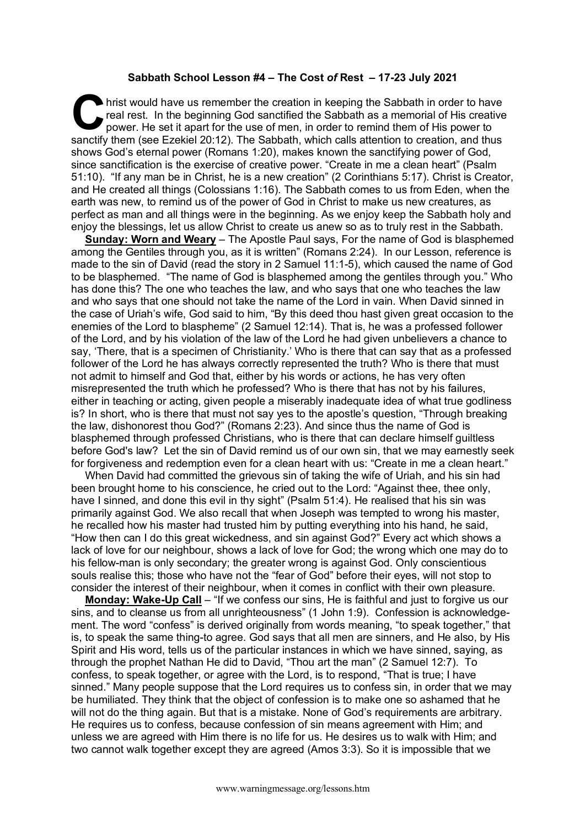## **Sabbath School Lesson #4 – The Cost** *of* **Rest – 17-23 July 2021**

hrist would have us remember the creation in keeping the Sabbath in order to have real rest. In the beginning God sanctified the Sabbath as a memorial of His creative power. He set it apart for the use of men, in order to remind them of His power to sanctify them (see Ezekiel 20:12). The Sabbath, which calls attention to creation, and thus shows God's eternal power (Romans 1:20), makes known the sanctifying power of God, since sanctification is the exercise of creative power. "Create in me a clean heart" (Psalm 51:10). "If any man be in Christ, he is a new creation" (2 Corinthians 5:17). Christ is Creator, and He created all things (Colossians 1:16). The Sabbath comes to us from Eden, when the earth was new, to remind us of the power of God in Christ to make us new creatures, as perfect as man and all things were in the beginning. As we enjoy keep the Sabbath holy and enjoy the blessings, let us allow Christ to create us anew so as to truly rest in the Sabbath. **C** hris

**Sunday: Worn and Weary** – The Apostle Paul says, For the name of God is blasphemed among the Gentiles through you, as it is written" (Romans 2:24). In our Lesson, reference is made to the sin of David (read the story in 2 Samuel 11:1-5), which caused the name of God to be blasphemed. "The name of God is blasphemed among the gentiles through you." Who has done this? The one who teaches the law, and who says that one who teaches the law and who says that one should not take the name of the Lord in vain. When David sinned in the case of Uriah's wife, God said to him, "By this deed thou hast given great occasion to the enemies of the Lord to blaspheme" (2 Samuel 12:14). That is, he was a professed follower of the Lord, and by his violation of the law of the Lord he had given unbelievers a chance to say, 'There, that is a specimen of Christianity.' Who is there that can say that as a professed follower of the Lord he has always correctly represented the truth? Who is there that must not admit to himself and God that, either by his words or actions, he has very often misrepresented the truth which he professed? Who is there that has not by his failures, either in teaching or acting, given people a miserably inadequate idea of what true godliness is? In short, who is there that must not say yes to the apostle's question, "Through breaking the law, dishonorest thou God?" (Romans 2:23). And since thus the name of God is blasphemed through professed Christians, who is there that can declare himself guiltless before God's law? Let the sin of David remind us of our own sin, that we may earnestly seek for forgiveness and redemption even for a clean heart with us: "Create in me a clean heart."

When David had committed the grievous sin of taking the wife of Uriah, and his sin had been brought home to his conscience, he cried out to the Lord: "Against thee, thee only, have I sinned, and done this evil in thy sight" (Psalm 51:4). He realised that his sin was primarily against God. We also recall that when Joseph was tempted to wrong his master, he recalled how his master had trusted him by putting everything into his hand, he said, "How then can I do this great wickedness, and sin against God?" Every act which shows a lack of love for our neighbour, shows a lack of love for God; the wrong which one may do to his fellow-man is only secondary; the greater wrong is against God. Only conscientious souls realise this; those who have not the "fear of God" before their eyes, will not stop to consider the interest of their neighbour, when it comes in conflict with their own pleasure.

**Monday: Wake-Up Call** – "If we confess our sins, He is faithful and just to forgive us our sins, and to cleanse us from all unrighteousness" (1 John 1:9). Confession is acknowledgement. The word "confess" is derived originally from words meaning, "to speak together," that is, to speak the same thing-to agree. God says that all men are sinners, and He also, by His Spirit and His word, tells us of the particular instances in which we have sinned, saying, as through the prophet Nathan He did to David, "Thou art the man" (2 Samuel 12:7). To confess, to speak together, or agree with the Lord, is to respond, "That is true; I have sinned." Many people suppose that the Lord requires us to confess sin, in order that we may be humiliated. They think that the object of confession is to make one so ashamed that he will not do the thing again. But that is a mistake. None of God's requirements are arbitrary. He requires us to confess, because confession of sin means agreement with Him; and unless we are agreed with Him there is no life for us. He desires us to walk with Him; and two cannot walk together except they are agreed (Amos 3:3). So it is impossible that we